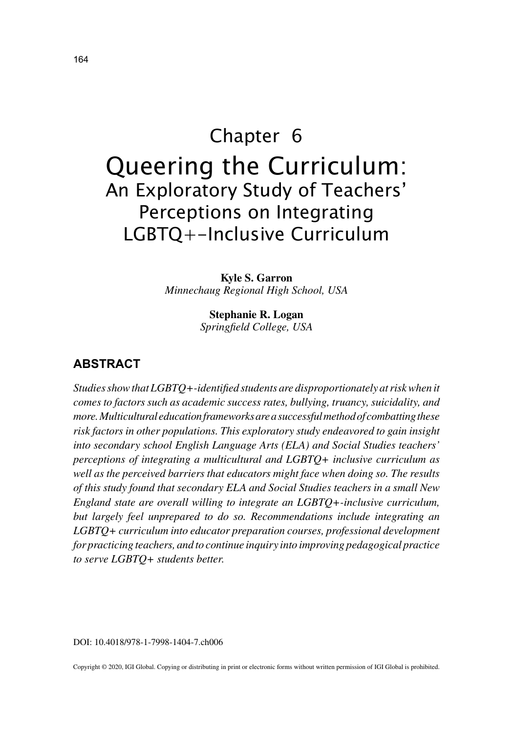# Chapter 6 Queering the Curriculum: An Exploratory Study of Teachers' Perceptions on Integrating LGBTQ+-Inclusive Curriculum

**Kyle S. Garron** *Minnechaug Regional High School, USA*

> **Stephanie R. Logan** *Springfield College, USA*

## **ABSTRACT**

*Studies show that LGBTQ+-identified students are disproportionately at risk when it comes to factors such as academic success rates, bullying, truancy, suicidality, and more. Multicultural education frameworks are a successful method of combatting these risk factors in other populations. This exploratory study endeavored to gain insight into secondary school English Language Arts (ELA) and Social Studies teachers' perceptions of integrating a multicultural and LGBTQ+ inclusive curriculum as*  well as the perceived barriers that educators might face when doing so. The results *of this study found that secondary ELA and Social Studies teachers in a small New England state are overall willing to integrate an LGBTQ+-inclusive curriculum, but largely feel unprepared to do so. Recommendations include integrating an LGBTQ+ curriculum into educator preparation courses, professional development for practicing teachers, and to continue inquiry into improving pedagogical practice to serve LGBTQ+ students better.*

DOI: 10.4018/978-1-7998-1404-7.ch006

Copyright © 2020, IGI Global. Copying or distributing in print or electronic forms without written permission of IGI Global is prohibited.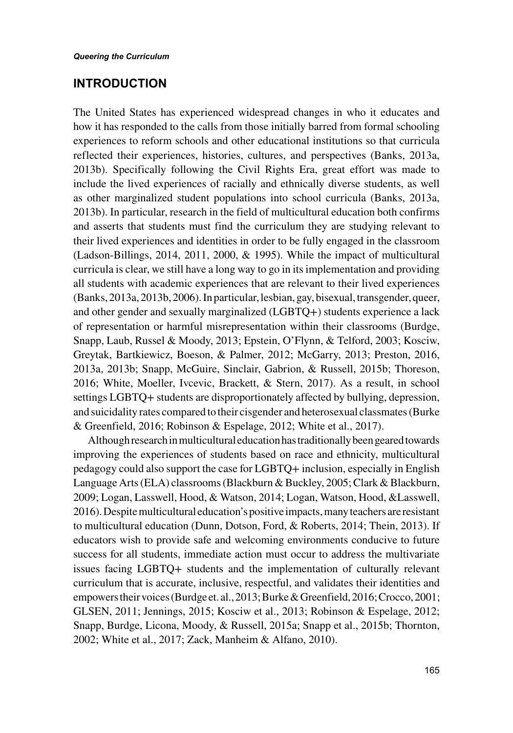#### **INTRODUCTION**

The United States has experienced widespread changes in who it educates and how it has responded to the calls from those initially barred from formal schooling experiences to reform schools and other educational institutions so that curricula reflected their experiences, histories, cultures, and perspectives (Banks, 2013a, 2013b). Specifically following the Civil Rights Era, great effort was made to include the lived experiences of racially and ethnically diverse students, as well as other marginalized student populations into school curricula (Banks, 2013a, 2013b). In particular, research in the field of multicultural education both confirms and asserts that students must find the curriculum they are studying relevant to their lived experiences and identities in order to be fully engaged in the classroom (Ladson-Billings, 2014, 2011, 2000, & 1995). While the impact of multicultural curricula is clear, we still have a long way to go in its implementation and providing all students with academic experiences that are relevant to their lived experiences (Banks, 2013a, 2013b, 2006). In particular, lesbian, gay, bisexual, transgender, queer, and other gender and sexually marginalized (LGBTQ+) students experience a lack of representation or harmful misrepresentation within their classrooms (Burdge, Snapp, Laub, Russel & Moody, 2013; Epstein, O'Flynn, & Telford, 2003; Kosciw, Greytak, Bartkiewicz, Boeson, & Palmer, 2012; McGarry, 2013; Preston, 2016, 2013a, 2013b; Snapp, McGuire, Sinclair, Gabrion, & Russell, 2015b; Thoreson, 2016; White, Moeller, Ivcevic, Brackett, & Stern, 2017). As a result, in school settings LGBTQ+ students are disproportionately affected by bullying, depression, and suicidality rates compared to their cisgender and heterosexual classmates (Burke & Greenfield, 2016; Robinson & Espelage, 2012; White et al., 2017).

Although research in multicultural education has traditionally been geared towards improving the experiences of students based on race and ethnicity, multicultural pedagogy could also support the case for LGBTQ+ inclusion, especially in English Language Arts (ELA) classrooms (Blackburn & Buckley, 2005; Clark & Blackburn, 2009; Logan, Lasswell, Hood, & Watson, 2014; Logan, Watson, Hood, &Lasswell, 2016). Despite multicultural education's positive impacts, many teachers are resistant to multicultural education (Dunn, Dotson, Ford, & Roberts, 2014; Thein, 2013). If educators wish to provide safe and welcoming environments conducive to future success for all students, immediate action must occur to address the multivariate issues facing LGBTQ+ students and the implementation of culturally relevant curriculum that is accurate, inclusive, respectful, and validates their identities and empowers their voices (Burdge et. al., 2013; Burke & Greenfield, 2016; Crocco, 2001; GLSEN, 2011; Jennings, 2015; Kosciw et al., 2013; Robinson & Espelage, 2012; Snapp, Burdge, Licona, Moody, & Russell, 2015a; Snapp et al., 2015b; Thornton, 2002; White et al., 2017; Zack, Manheim & Alfano, 2010).